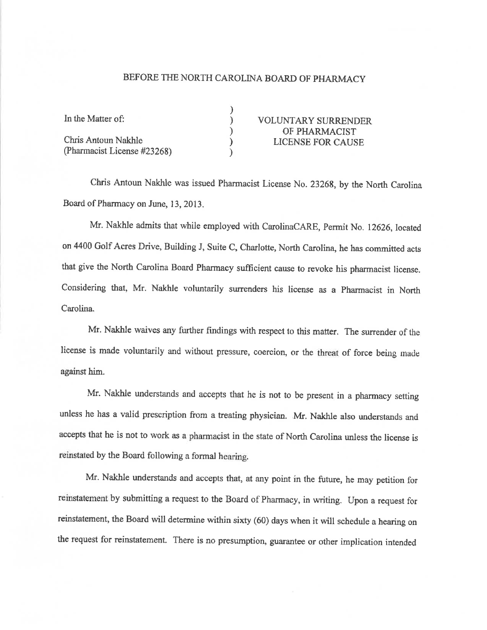## BEFORE THE NORTH CAROLINA BOARD OF PHARMACY

| In the Matter of:           | <b>VOLUNTARY SURRENDER</b> |
|-----------------------------|----------------------------|
| Chris Antoun Nakhle         | OF PHARMACIST              |
|                             | <b>LICENSE FOR CAUSE</b>   |
| (Pharmacist License #23268) |                            |

Chris Antoun Nakhlo was issued Pharmacist License No. 23268, by the North Carolina Board of Pharmacy on June, 13, 2013.

Mr. Nakhle admits that while employed with CarolinaCARE, Permit No. 12626, located on 4400 Golf Acres Drive, Building J, Suite C, Charlotte, North Carolina, he has committed acts that give the North Carolina Board Pharmacy sufficient cause to revoke his pharmacist license. Considering that, Mr. Nakhle voluntarily surrenders his license as a Pharmacist in North Carolina.

Mr. Nakhle waives any further findings with respect to this matter. The surrender of the license is made voluntarily and without pressure, coercion, or the threat of force being made against him.

Mr. Nakhle understands and accepts that he is not to be present in a pharmacy setting unless he has a valid prescription from a teating physician. Mr. Nakhle also understands and accepts that he is not to work as a pharmacist in the state of North Carolina unless the license is reinstated by the Board following a formal hearing.

Mr. Nakhle understands and accepts that, at any point in the future, he may petition for reinstatement by submitting a request to the Board of Pharmacy, in writing. Upon a request for reinstatement, the Board will determine within sixty (60) days when it will schedule a hearing on the request for reinstatement. There is no presumption, guarantee or other implication intended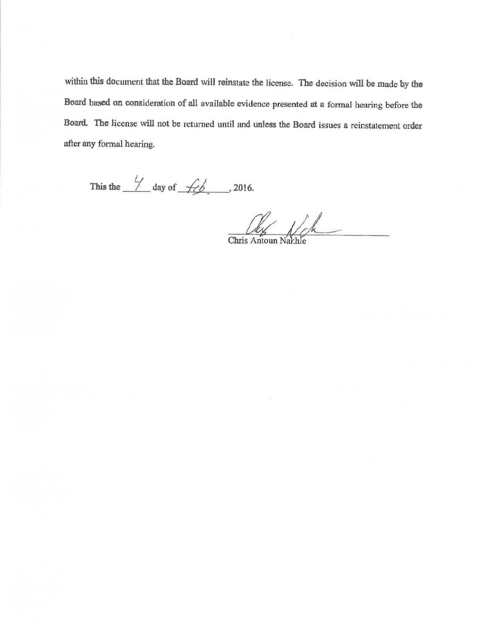within this document that the Board will reinstate the license. The decision will be made by the Board based on consideration of all available evidence presented at a formal hearing before the Board. The license will not be returned until and unless the Board issues a reinstatement order after any formal hearing.

This the  $\frac{4}{1}$  day of  $\frac{2016}{1}$ .

Chris Antoun Nach